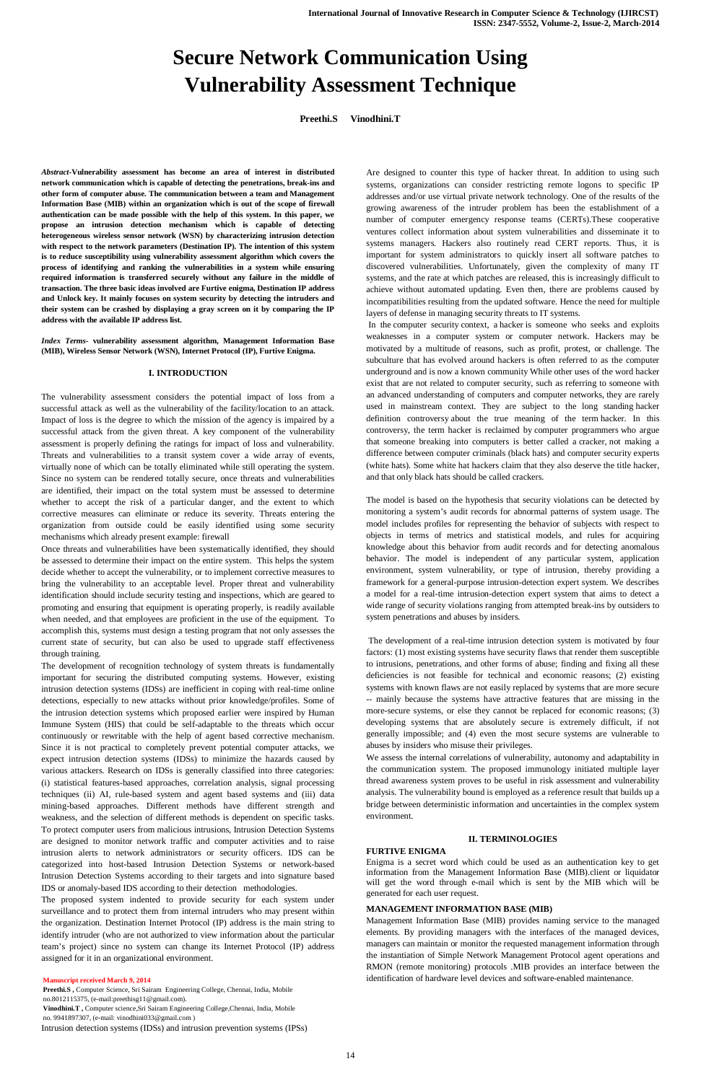# **Secure Network Communication Using Vulnerability Assessment Technique**

**Preethi.S Vinodhini.T**

*Abstract-***Vulnerability assessment has become an area of interest in distributed network communication which is capable of detecting the penetrations, break-ins and other form of computer abuse. The communication between a team and Management Information Base (MIB) within an organization which is out of the scope of firewall authentication can be made possible with the help of this system. In this paper, we propose an intrusion detection mechanism which is capable of detecting heterogeneous wireless sensor network (WSN) by characterizing intrusion detection with respect to the network parameters (Destination IP). The intention of this system is to reduce susceptibility using vulnerability assessment algorithm which covers the process of identifying and ranking the vulnerabilities in a system while ensuring required information is transferred securely without any failure in the middle of transaction. The three basic ideas involved are Furtive enigma, Destination IP address and Unlock key. It mainly focuses on system security by detecting the intruders and their system can be crashed by displaying a gray screen on it by comparing the IP address with the available IP address list.** 

*Index Terms-* **vulnerability assessment algorithm, Management Information Base (MIB), Wireless Sensor Network (WSN), Internet Protocol (IP), Furtive Enigma.**

## **I. INTRODUCTION**

The vulnerability assessment considers the potential impact of loss from a successful attack as well as the vulnerability of the facility/location to an attack. Impact of loss is the degree to which the mission of the agency is impaired by a successful attack from the given threat. A key component of the vulnerability assessment is properly defining the ratings for impact of loss and vulnerability. Threats and vulnerabilities to a transit system cover a wide array of events, virtually none of which can be totally eliminated while still operating the system. Since no system can be rendered totally secure, once threats and vulnerabilities are identified, their impact on the total system must be assessed to determine whether to accept the risk of a particular danger, and the extent to which corrective measures can eliminate or reduce its severity. Threats entering the organization from outside could be easily identified using some security mechanisms which already present example: firewall

Once threats and vulnerabilities have been systematically identified, they should be assessed to determine their impact on the entire system. This helps the system decide whether to accept the vulnerability, or to implement corrective measures to bring the vulnerability to an acceptable level. Proper threat and vulnerability identification should include security testing and inspections, which are geared to promoting and ensuring that equipment is operating properly, is readily available when needed, and that employees are proficient in the use of the equipment. To accomplish this, systems must design a testing program that not only assesses the current state of security, but can also be used to upgrade staff effectiveness through training.

The development of recognition technology of system threats is fundamentally important for securing the distributed computing systems. However, existing intrusion detection systems (IDSs) are inefficient in coping with real-time online detections, especially to new attacks without prior knowledge/profiles. Some of the intrusion detection systems which proposed earlier were inspired by Human Immune System (HIS) that could be self-adaptable to the threats which occur continuously or rewritable with the help of agent based corrective mechanism. Since it is not practical to completely prevent potential computer attacks, we expect intrusion detection systems (IDSs) to minimize the hazards caused by various attackers. Research on IDSs is generally classified into three categories: (i) statistical features-based approaches, correlation analysis, signal processing techniques (ii) AI, rule-based system and agent based systems and (iii) data mining-based approaches. Different methods have different strength and weakness, and the selection of different methods is dependent on specific tasks. To protect computer users from malicious intrusions, Intrusion Detection Systems are designed to monitor network traffic and computer activities and to raise intrusion alerts to network administrators or security officers. IDS can be categorized into host-based Intrusion Detection Systems or network-based Intrusion Detection Systems according to their targets and into signature based IDS or anomaly-based IDS according to their detection methodologies. The proposed system indented to provide security for each system under surveillance and to protect them from internal intruders who may present within the organization. Destination Internet Protocol (IP) address is the main string to identify intruder (who are not authorized to view information about the particular team's project) since no system can change its Internet Protocol (IP) address assigned for it in an organizational environment.

#### **Manuscript received March 9, 2014**

**Preethi.S ,** Computer Science, Sri Sairam Engineering College, Chennai, India, Mobile no.8012115375, (e-mail:preethisg11@gmail.com). **Vinodhini.T ,** Computer science,Sri Sairam Engineering College,Chennai, India, Mobile no. 9941897307, (e-mail: vinodhini033@gmail.com ) Intrusion detection systems (IDSs) and intrusion prevention systems (IPSs) Are designed to counter this type of hacker threat. In addition to using such systems, organizations can consider restricting remote logons to specific IP addresses and/or use virtual private network technology. One of the results of the growing awareness of the intruder problem has been the establishment of a number of computer emergency response teams (CERTs).These cooperative ventures collect information about system vulnerabilities and disseminate it to systems managers. Hackers also routinely read CERT reports. Thus, it is important for system administrators to quickly insert all software patches to discovered vulnerabilities. Unfortunately, given the complexity of many IT systems, and the rate at which patches are released, this is increasingly difficult to achieve without automated updating. Even then, there are problems caused by incompatibilities resulting from the updated software. Hence the need for multiple layers of defense in managing security threats to IT systems.

In the computer security context, a hacker is someone who seeks and exploits weaknesses in a computer system or computer network. Hackers may be motivated by a multitude of reasons, such as profit, protest, or challenge. The subculture that has evolved around hackers is often referred to as the computer underground and is now a known community While other uses of the word hacker exist that are not related to computer security, such as referring to someone with an advanced understanding of computers and computer networks, they are rarely used in mainstream context. They are subject to the long standing hacker definition controversy about the true meaning of the term hacker. In this controversy, the term hacker is reclaimed by computer programmers who argue that someone breaking into computers is better called a cracker, not making a difference between computer criminals (black hats) and computer security experts (white hats). Some white hat hackers claim that they also deserve the title hacker, and that only black hats should be called crackers.

The model is based on the hypothesis that security violations can be detected by monitoring a system's audit records for abnormal patterns of system usage. The model includes profiles for representing the behavior of subjects with respect to objects in terms of metrics and statistical models, and rules for acquiring knowledge about this behavior from audit records and for detecting anomalous behavior. The model is independent of any particular system, application environment, system vulnerability, or type of intrusion, thereby providing a framework for a general-purpose intrusion-detection expert system. We describes a model for a real-time intrusion-detection expert system that aims to detect a wide range of security violations ranging from attempted break-ins by outsiders to system penetrations and abuses by insiders.

The development of a real-time intrusion detection system is motivated by four factors: (1) most existing systems have security flaws that render them susceptible to intrusions, penetrations, and other forms of abuse; finding and fixing all these deficiencies is not feasible for technical and economic reasons; (2) existing systems with known flaws are not easily replaced by systems that are more secure -- mainly because the systems have attractive features that are missing in the more-secure systems, or else they cannot be replaced for economic reasons; (3) developing systems that are absolutely secure is extremely difficult, if not generally impossible; and (4) even the most secure systems are vulnerable to abuses by insiders who misuse their privileges.

We assess the internal correlations of vulnerability, autonomy and adaptability in the communication system. The proposed immunology initiated multiple layer thread awareness system proves to be useful in risk assessment and vulnerability analysis. The vulnerability bound is employed as a reference result that builds up a bridge between deterministic information and uncertainties in the complex system environment.

# **II. TERMINOLOGIES**

# **FURTIVE ENIGMA**

Enigma is a secret word which could be used as an authentication key to get information from the Management Information Base (MIB).client or liquidator will get the word through e-mail which is sent by the MIB which will be generated for each user request.

# **MANAGEMENT INFORMATION BASE (MIB)**

Management Information Base (MIB) provides naming service to the managed elements. By providing managers with the interfaces of the managed devices, managers can maintain or monitor the requested management information through the instantiation of Simple Network Management Protocol agent operations and RMON (remote monitoring) protocols .MIB provides an interface between the identification of hardware level devices and software-enabled maintenance.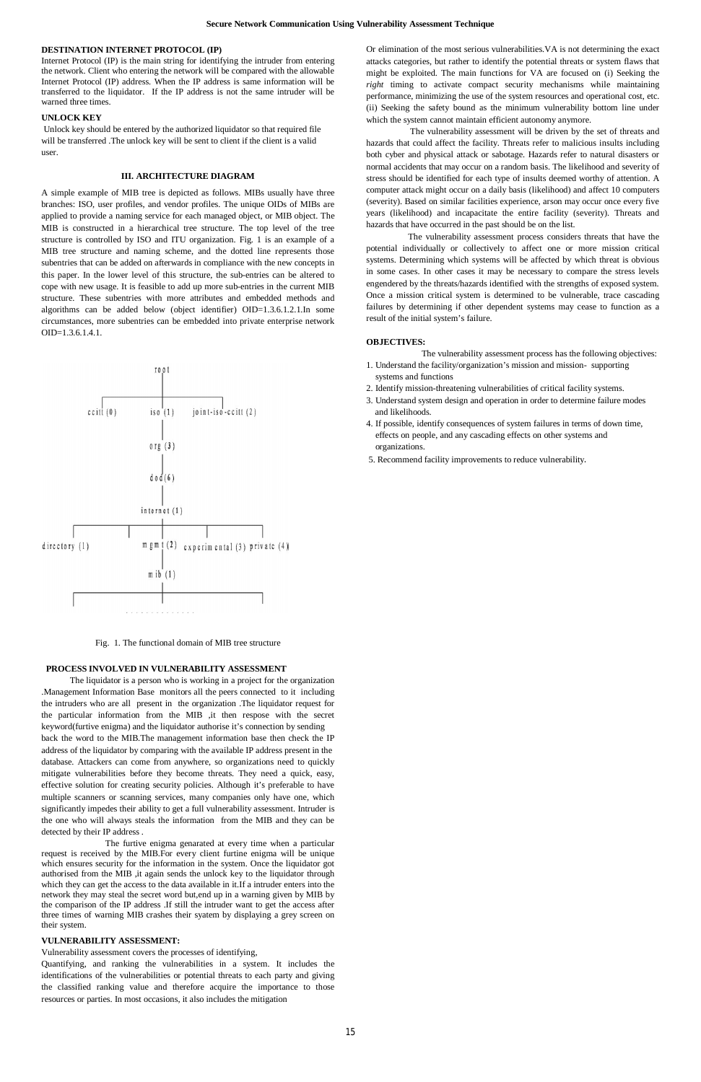#### **DESTINATION INTERNET PROTOCOL (IP)**

Internet Protocol (IP) is the main string for identifying the intruder from entering the network. Client who entering the network will be compared with the allowable Internet Protocol (IP) address. When the IP address is same information will be transferred to the liquidator. If the IP address is not the same intruder will be warned three times.

# **UNLOCK KEY**

Unlock key should be entered by the authorized liquidator so that required file will be transferred .The unlock key will be sent to client if the client is a valid user.

## **III. ARCHITECTURE DIAGRAM**

A simple example of MIB tree is depicted as follows. MIBs usually have three branches: ISO, user profiles, and vendor profiles. The unique OIDs of MIBs are applied to provide a naming service for each managed object, or MIB object. The MIB is constructed in a hierarchical tree structure. The top level of the tree structure is controlled by ISO and ITU organization. Fig. 1 is an example of a MIB tree structure and naming scheme, and the dotted line represents those subentries that can be added on afterwards in compliance with the new concepts in this paper. In the lower level of this structure, the sub-entries can be altered to cope with new usage. It is feasible to add up more sub-entries in the current MIB structure. These subentries with more attributes and embedded methods and algorithms can be added below (object identifier) OID=1.3.6.1.2.1.In some circumstances, more subentries can be embedded into private enterprise network OID=1.3.6.1.4.1.



Fig. 1. The functional domain of MIB tree structure

#### **PROCESS INVOLVED IN VULNERABILITY ASSESSMENT**

 The liquidator is a person who is working in a project for the organization .Management Information Base monitors all the peers connected to it including the intruders who are all present in the organization .The liquidator request for the particular information from the MIB ,it then respose with the secret keyword(furtive enigma) and the liquidator authorise it's connection by sending back the word to the MIB.The management information base then check the IP address of the liquidator by comparing with the available IP address present in the database. Attackers can come from anywhere, so organizations need to quickly mitigate vulnerabilities before they become threats. They need a quick, easy, effective solution for creating security policies. Although it's preferable to have multiple scanners or scanning services, many companies only have one, which significantly impedes their ability to get a full vulnerability assessment. Intruder is the one who will always steals the information from the MIB and they can be detected by their IP address . The furtive enigma genarated at every time when a particular request is received by the MIB.For every client furtine enigma will be unique which ensures security for the information in the system. Once the liquidator got authorised from the MIB ,it again sends the unlock key to the liquidator through which they can get the access to the data available in it.If a intruder enters into the network they may steal the secret word but,end up in a warning given by MIB by the comparison of the IP address .If still the intruder want to get the access after three times of warning MIB crashes their syatem by displaying a grey screen on their system.

# **VULNERABILITY ASSESSMENT:**

Vulnerability assessment covers the processes of identifying,

Quantifying, and ranking the vulnerabilities in a system. It includes the identifications of the vulnerabilities or potential threats to each party and giving the classified ranking value and therefore acquire the importance to those resources or parties. In most occasions, it also includes the mitigation

Or elimination of the most serious vulnerabilities.VA is not determining the exact attacks categories, but rather to identify the potential threats or system flaws that might be exploited. The main functions for VA are focused on (i) Seeking the *right* timing to activate compact security mechanisms while maintaining performance, minimizing the use of the system resources and operational cost, etc. (ii) Seeking the safety bound as the minimum vulnerability bottom line under which the system cannot maintain efficient autonomy anymore.

 The vulnerability assessment will be driven by the set of threats and hazards that could affect the facility. Threats refer to malicious insults including both cyber and physical attack or sabotage. Hazards refer to natural disasters or normal accidents that may occur on a random basis. The likelihood and severity of stress should be identified for each type of insults deemed worthy of attention. A computer attack might occur on a daily basis (likelihood) and affect 10 computers (severity). Based on similar facilities experience, arson may occur once every five years (likelihood) and incapacitate the entire facility (severity). Threats and hazards that have occurred in the past should be on the list.

 The vulnerability assessment process considers threats that have the potential individually or collectively to affect one or more mission critical systems. Determining which systems will be affected by which threat is obvious in some cases. In other cases it may be necessary to compare the stress levels engendered by the threats/hazards identified with the strengths of exposed system. Once a mission critical system is determined to be vulnerable, trace cascading failures by determining if other dependent systems may cease to function as a result of the initial system's failure.

#### **OBJECTIVES:**

The vulnerability assessment process has the following objectives:

- 1. Understand the facility/organization's mission and mission- supporting systems and functions
- 2. Identify mission-threatening vulnerabilities of critical facility systems.
- 3. Understand system design and operation in order to determine failure modes and likelihoods.
- 4. If possible, identify consequences of system failures in terms of down time, effects on people, and any cascading effects on other systems and organizations.
- 5. Recommend facility improvements to reduce vulnerability.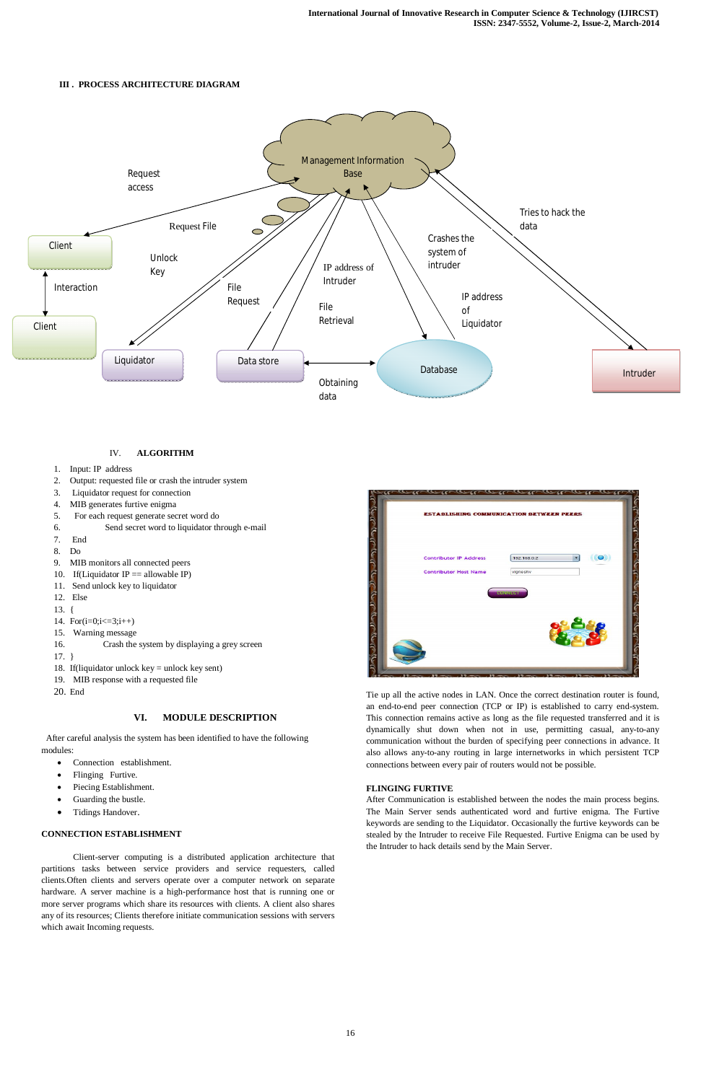# **III . PROCESS ARCHITECTURE DIAGRAM**

# IV. **ALGORITHM**

- Guarding the bustle.
- Tidings Handover.
- 1. Input: IP address
- 2. Output: requested file or crash the intruder system
- 3. Liquidator request for connection
- 4. MIB generates furtive enigma
- 5. For each request generate secret word do
- 6. Send secret word to liquidator through e-mail
- 7. End
- 8. Do
- 9. MIB monitors all connected peers
- 10. If(Liquidator IP  $==$  allowable IP)
- 11. Send unlock key to liquidator
- 12. Else
- 13. {
- 14. For $(i=0; i \leq 3; i++)$
- 15. Warning message
- 16. Crash the system by displaying a grey screen
- 17. }
- 18. If(liquidator unlock key = unlock key sent)
- 19. MIB response with a requested file
- 20. End

# **VI. MODULE DESCRIPTION**

 After careful analysis the system has been identified to have the following modules:

- Connection establishment.
- Flinging Furtive.
- Piecing Establishment.

**ESTABLISHING COMMUNICATION BETWEEN PEERS** محلات وحراف والمتراف  $\circ$ **Contributor IP Address** 192.168.0. **Contributor Host Name** vignes

# **CONNECTION ESTABLISHMENT**

Client-server computing is a distributed application architecture that partitions tasks between service providers and service requesters, called clients.Often clients and servers operate over a computer network on separate hardware. A server machine is a high-performance host that is running one or more server programs which share its resources with clients. A client also shares any of its resources; Clients therefore initiate communication sessions with servers which await Incoming requests.

Tie up all the active nodes in LAN. Once the correct destination router is found, an end-to-end peer connection (TCP or IP) is established to carry end-system. This connection remains active as long as the file requested transferred and it is dynamically shut down when not in use, permitting casual, any-to-any communication without the burden of specifying peer connections in advance. It also allows any-to-any routing in large internetworks in which persistent TCP connections between every pair of routers would not be possible.

# **FLINGING FURTIVE**

After Communication is established between the nodes the main process begins. The Main Server sends authenticated word and furtive enigma. The Furtive keywords are sending to the Liquidator. Occasionally the furtive keywords can be stealed by the Intruder to receive File Requested. Furtive Enigma can be used by the Intruder to hack details send by the Main Server.

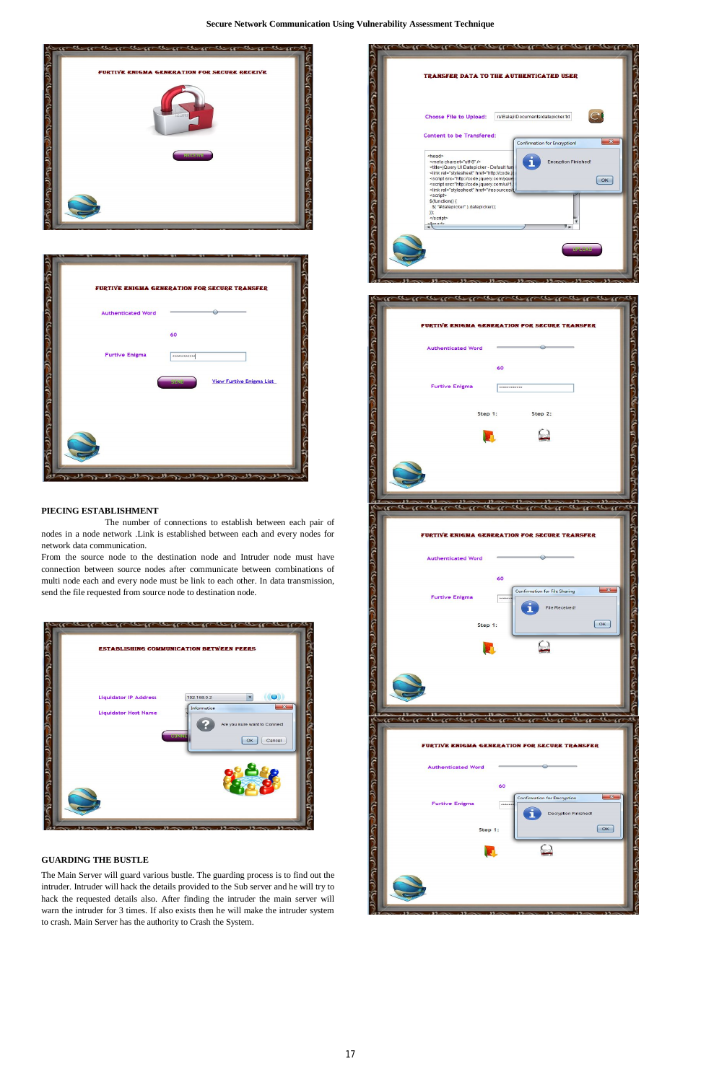

| <b>Authenticated Word</b> |              |                                 |
|---------------------------|--------------|---------------------------------|
|                           | 60           |                                 |
| <b>Furtive Enigma</b>     | ************ |                                 |
|                           | <b>BENNE</b> | <b>View Furtive Enigma List</b> |
|                           |              |                                 |
|                           |              |                                 |
|                           |              |                                 |

# **PIECING ESTABLISHMENT**

The number of connections to establish between each pair of nodes in a node network .Link is established between each and every nodes for network data communication.

From the source node to the destination node and Intruder node must have connection between source nodes after communicate between combinations of multi node each and every node must be link to each other. In data transmission, send the file requested from source node to destination node.

| <b>Liquidator IP Address</b> | $(\odot)$<br>$\blacksquare$<br>192.168.0.2<br>$\overline{\mathbf{z}}$ |
|------------------------------|-----------------------------------------------------------------------|
| <b>Liquidator Host Name</b>  | Information<br>Are you sure want to Connect                           |
|                              | <b>BUNNE</b><br>Cancel<br>OK                                          |





# **GUARDING THE BUSTLE**

The Main Server will guard various bustle. The guarding process is to find out the intruder. Intruder will hack the details provided to the Sub server and he will try to hack the requested details also. After finding the intruder the main server will warn the intruder for 3 times. If also exists then he will make the intruder system to crash. Main Server has the authority to Crash the System.